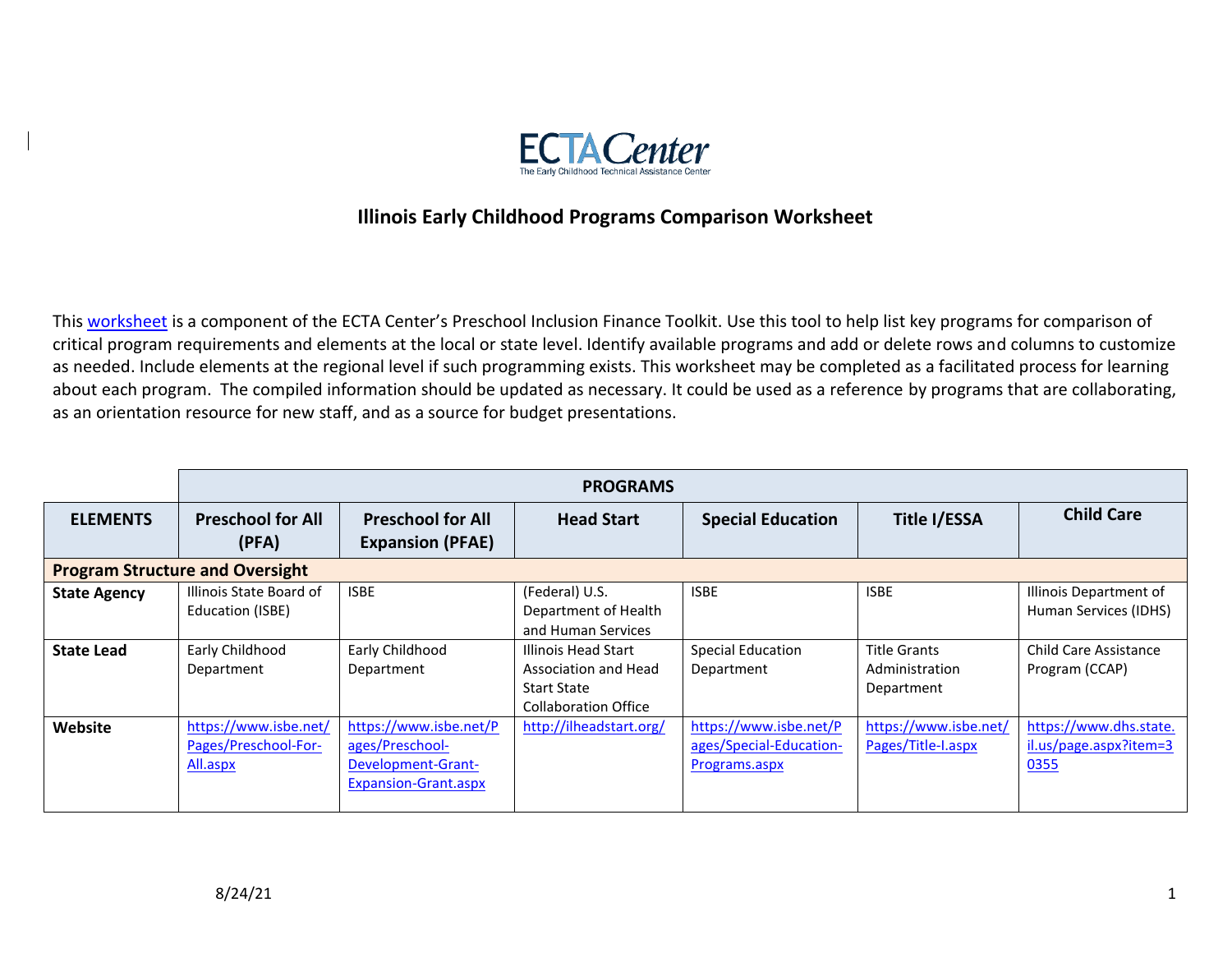

## **Illinois Early Childhood Programs Comparison Worksheet**

This [worksheet](https://ectacenter.org/topics/inclusion/funding.asp) is a component of the ECTA Center's Preschool Inclusion Finance Toolkit. Use this tool to help list key programs for comparison of critical program requirements and elements at the local or state level. Identify available programs and add or delete rows and columns to customize as needed. Include elements at the regional level if such programming exists. This worksheet may be completed as a facilitated process for learning about each program. The compiled information should be updated as necessary. It could be used as a reference by programs that are collaborating, as an orientation resource for new staff, and as a source for budget presentations.

|                     | <b>PROGRAMS</b>                                           |                                                                                         |                                                                                                  |                                                                    |                                                     |                                                          |  |
|---------------------|-----------------------------------------------------------|-----------------------------------------------------------------------------------------|--------------------------------------------------------------------------------------------------|--------------------------------------------------------------------|-----------------------------------------------------|----------------------------------------------------------|--|
| <b>ELEMENTS</b>     | <b>Preschool for All</b><br>(PFA)                         | <b>Preschool for All</b><br><b>Expansion (PFAE)</b>                                     | <b>Head Start</b>                                                                                | <b>Special Education</b>                                           | <b>Title I/ESSA</b>                                 | <b>Child Care</b>                                        |  |
|                     | <b>Program Structure and Oversight</b>                    |                                                                                         |                                                                                                  |                                                                    |                                                     |                                                          |  |
| <b>State Agency</b> | Illinois State Board of<br>Education (ISBE)               | <b>ISBE</b>                                                                             | (Federal) U.S.<br>Department of Health<br>and Human Services                                     | <b>ISBE</b>                                                        | <b>ISBE</b>                                         | Illinois Department of<br>Human Services (IDHS)          |  |
| <b>State Lead</b>   | Early Childhood<br>Department                             | Early Childhood<br>Department                                                           | Illinois Head Start<br>Association and Head<br><b>Start State</b><br><b>Collaboration Office</b> | <b>Special Education</b><br>Department                             | <b>Title Grants</b><br>Administration<br>Department | <b>Child Care Assistance</b><br>Program (CCAP)           |  |
| Website             | https://www.isbe.net/<br>Pages/Preschool-For-<br>All.aspx | https://www.isbe.net/P<br>ages/Preschool-<br>Development-Grant-<br>Expansion-Grant.aspx | http://ilheadstart.org/                                                                          | https://www.isbe.net/P<br>ages/Special-Education-<br>Programs.aspx | https://www.isbe.net/<br>Pages/Title-I.aspx         | https://www.dhs.state.<br>il.us/page.aspx?item=3<br>0355 |  |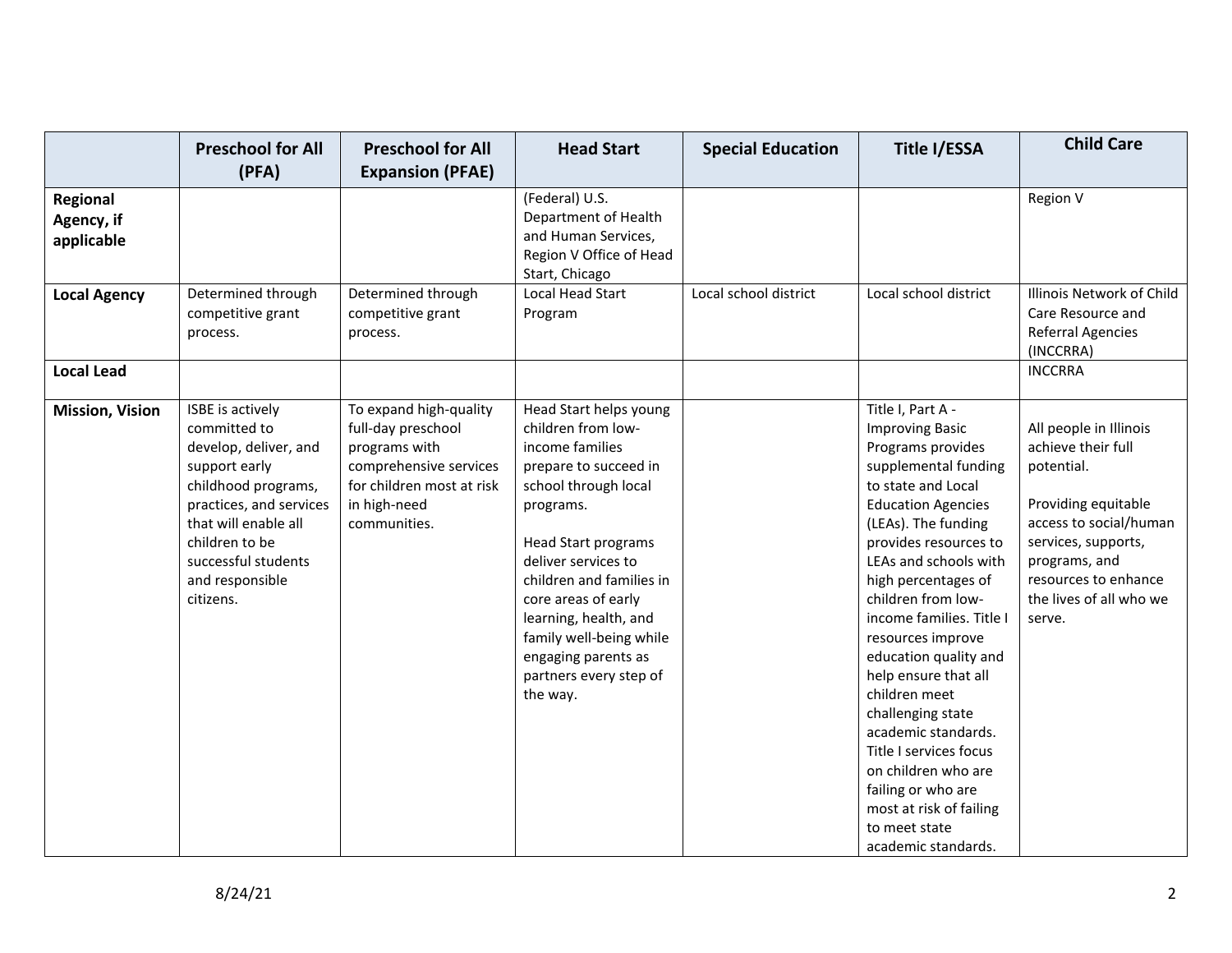|                                      | <b>Preschool for All</b><br>(PFA)                                                                                                                                                                                             | <b>Preschool for All</b><br><b>Expansion (PFAE)</b>                                                                                                  | <b>Head Start</b>                                                                                                                                                                                                                                                                                                                                      | <b>Special Education</b> | <b>Title I/ESSA</b>                                                                                                                                                                                                                                                                                                                                                                                                                                                                                                                                                        | <b>Child Care</b>                                                                                                                                                                                                |
|--------------------------------------|-------------------------------------------------------------------------------------------------------------------------------------------------------------------------------------------------------------------------------|------------------------------------------------------------------------------------------------------------------------------------------------------|--------------------------------------------------------------------------------------------------------------------------------------------------------------------------------------------------------------------------------------------------------------------------------------------------------------------------------------------------------|--------------------------|----------------------------------------------------------------------------------------------------------------------------------------------------------------------------------------------------------------------------------------------------------------------------------------------------------------------------------------------------------------------------------------------------------------------------------------------------------------------------------------------------------------------------------------------------------------------------|------------------------------------------------------------------------------------------------------------------------------------------------------------------------------------------------------------------|
| Regional<br>Agency, if<br>applicable |                                                                                                                                                                                                                               |                                                                                                                                                      | (Federal) U.S.<br>Department of Health<br>and Human Services,<br>Region V Office of Head<br>Start, Chicago                                                                                                                                                                                                                                             |                          |                                                                                                                                                                                                                                                                                                                                                                                                                                                                                                                                                                            | Region V                                                                                                                                                                                                         |
| <b>Local Agency</b>                  | Determined through<br>competitive grant<br>process.                                                                                                                                                                           | Determined through<br>competitive grant<br>process.                                                                                                  | Local Head Start<br>Program                                                                                                                                                                                                                                                                                                                            | Local school district    | Local school district                                                                                                                                                                                                                                                                                                                                                                                                                                                                                                                                                      | Illinois Network of Child<br>Care Resource and<br><b>Referral Agencies</b><br>(INCCRRA)                                                                                                                          |
| <b>Local Lead</b>                    |                                                                                                                                                                                                                               |                                                                                                                                                      |                                                                                                                                                                                                                                                                                                                                                        |                          |                                                                                                                                                                                                                                                                                                                                                                                                                                                                                                                                                                            | <b>INCCRRA</b>                                                                                                                                                                                                   |
| <b>Mission, Vision</b>               | ISBE is actively<br>committed to<br>develop, deliver, and<br>support early<br>childhood programs,<br>practices, and services<br>that will enable all<br>children to be<br>successful students<br>and responsible<br>citizens. | To expand high-quality<br>full-day preschool<br>programs with<br>comprehensive services<br>for children most at risk<br>in high-need<br>communities. | Head Start helps young<br>children from low-<br>income families<br>prepare to succeed in<br>school through local<br>programs.<br><b>Head Start programs</b><br>deliver services to<br>children and families in<br>core areas of early<br>learning, health, and<br>family well-being while<br>engaging parents as<br>partners every step of<br>the way. |                          | Title I, Part A -<br><b>Improving Basic</b><br>Programs provides<br>supplemental funding<br>to state and Local<br><b>Education Agencies</b><br>(LEAs). The funding<br>provides resources to<br>LEAs and schools with<br>high percentages of<br>children from low-<br>income families. Title I<br>resources improve<br>education quality and<br>help ensure that all<br>children meet<br>challenging state<br>academic standards.<br>Title I services focus<br>on children who are<br>failing or who are<br>most at risk of failing<br>to meet state<br>academic standards. | All people in Illinois<br>achieve their full<br>potential.<br>Providing equitable<br>access to social/human<br>services, supports,<br>programs, and<br>resources to enhance<br>the lives of all who we<br>serve. |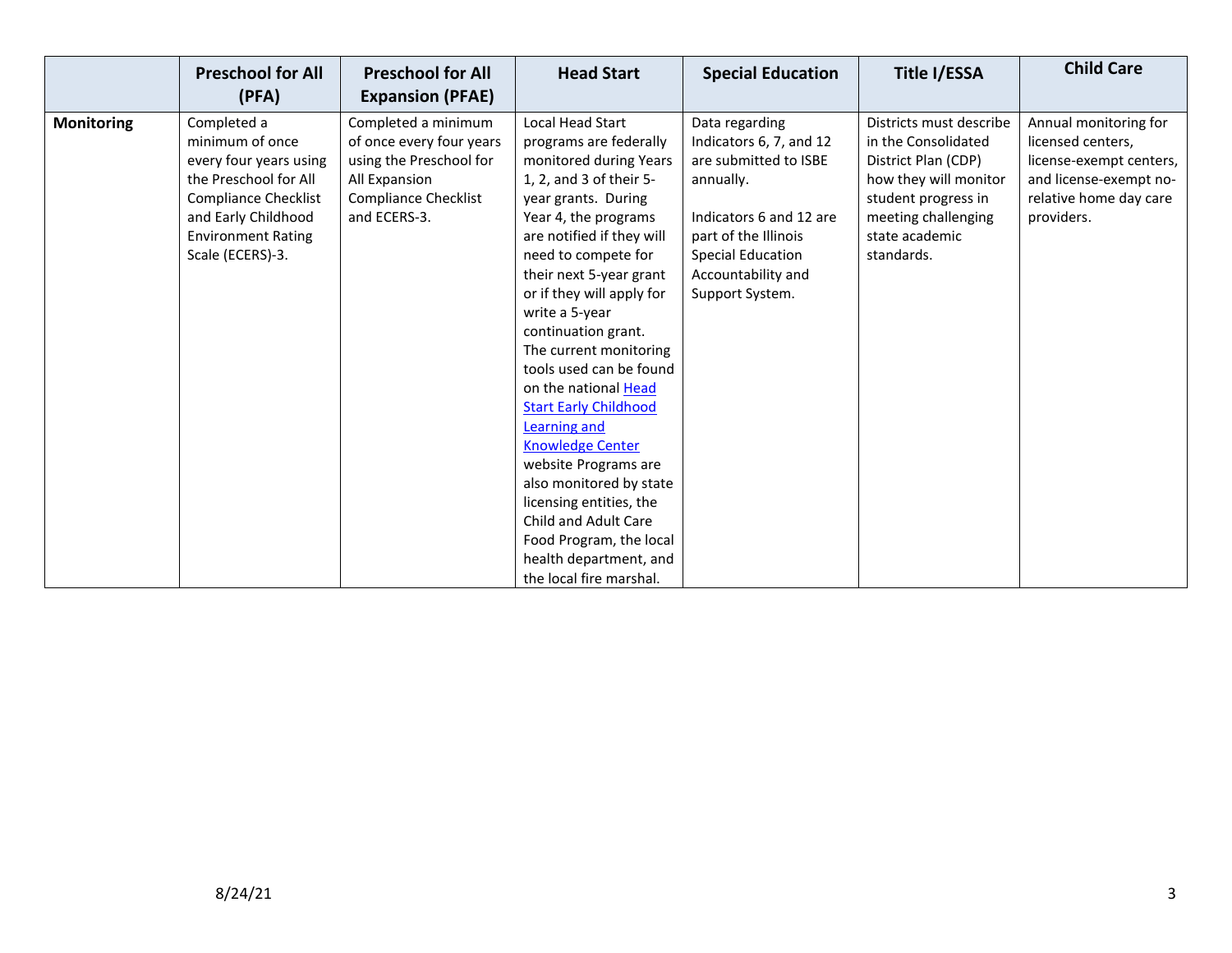|                   | <b>Preschool for All</b><br>(PFA) | <b>Preschool for All</b><br><b>Expansion (PFAE)</b> | <b>Head Start</b>            | <b>Special Education</b> | Title I/ESSA            | <b>Child Care</b>       |
|-------------------|-----------------------------------|-----------------------------------------------------|------------------------------|--------------------------|-------------------------|-------------------------|
|                   |                                   |                                                     |                              |                          |                         |                         |
| <b>Monitoring</b> | Completed a                       | Completed a minimum                                 | Local Head Start             | Data regarding           | Districts must describe | Annual monitoring for   |
|                   | minimum of once                   | of once every four years                            | programs are federally       | Indicators 6, 7, and 12  | in the Consolidated     | licensed centers,       |
|                   | every four years using            | using the Preschool for                             | monitored during Years       | are submitted to ISBE    | District Plan (CDP)     | license-exempt centers, |
|                   | the Preschool for All             | All Expansion                                       | 1, 2, and 3 of their 5-      | annually.                | how they will monitor   | and license-exempt no-  |
|                   | <b>Compliance Checklist</b>       | <b>Compliance Checklist</b>                         | year grants. During          |                          | student progress in     | relative home day care  |
|                   | and Early Childhood               | and ECERS-3.                                        | Year 4, the programs         | Indicators 6 and 12 are  | meeting challenging     | providers.              |
|                   | <b>Environment Rating</b>         |                                                     | are notified if they will    | part of the Illinois     | state academic          |                         |
|                   | Scale (ECERS)-3.                  |                                                     | need to compete for          | <b>Special Education</b> | standards.              |                         |
|                   |                                   |                                                     | their next 5-year grant      | Accountability and       |                         |                         |
|                   |                                   |                                                     | or if they will apply for    | Support System.          |                         |                         |
|                   |                                   |                                                     | write a 5-year               |                          |                         |                         |
|                   |                                   |                                                     | continuation grant.          |                          |                         |                         |
|                   |                                   |                                                     | The current monitoring       |                          |                         |                         |
|                   |                                   |                                                     | tools used can be found      |                          |                         |                         |
|                   |                                   |                                                     | on the national Head         |                          |                         |                         |
|                   |                                   |                                                     | <b>Start Early Childhood</b> |                          |                         |                         |
|                   |                                   |                                                     | Learning and                 |                          |                         |                         |
|                   |                                   |                                                     | <b>Knowledge Center</b>      |                          |                         |                         |
|                   |                                   |                                                     | website Programs are         |                          |                         |                         |
|                   |                                   |                                                     | also monitored by state      |                          |                         |                         |
|                   |                                   |                                                     | licensing entities, the      |                          |                         |                         |
|                   |                                   |                                                     | Child and Adult Care         |                          |                         |                         |
|                   |                                   |                                                     | Food Program, the local      |                          |                         |                         |
|                   |                                   |                                                     | health department, and       |                          |                         |                         |
|                   |                                   |                                                     | the local fire marshal.      |                          |                         |                         |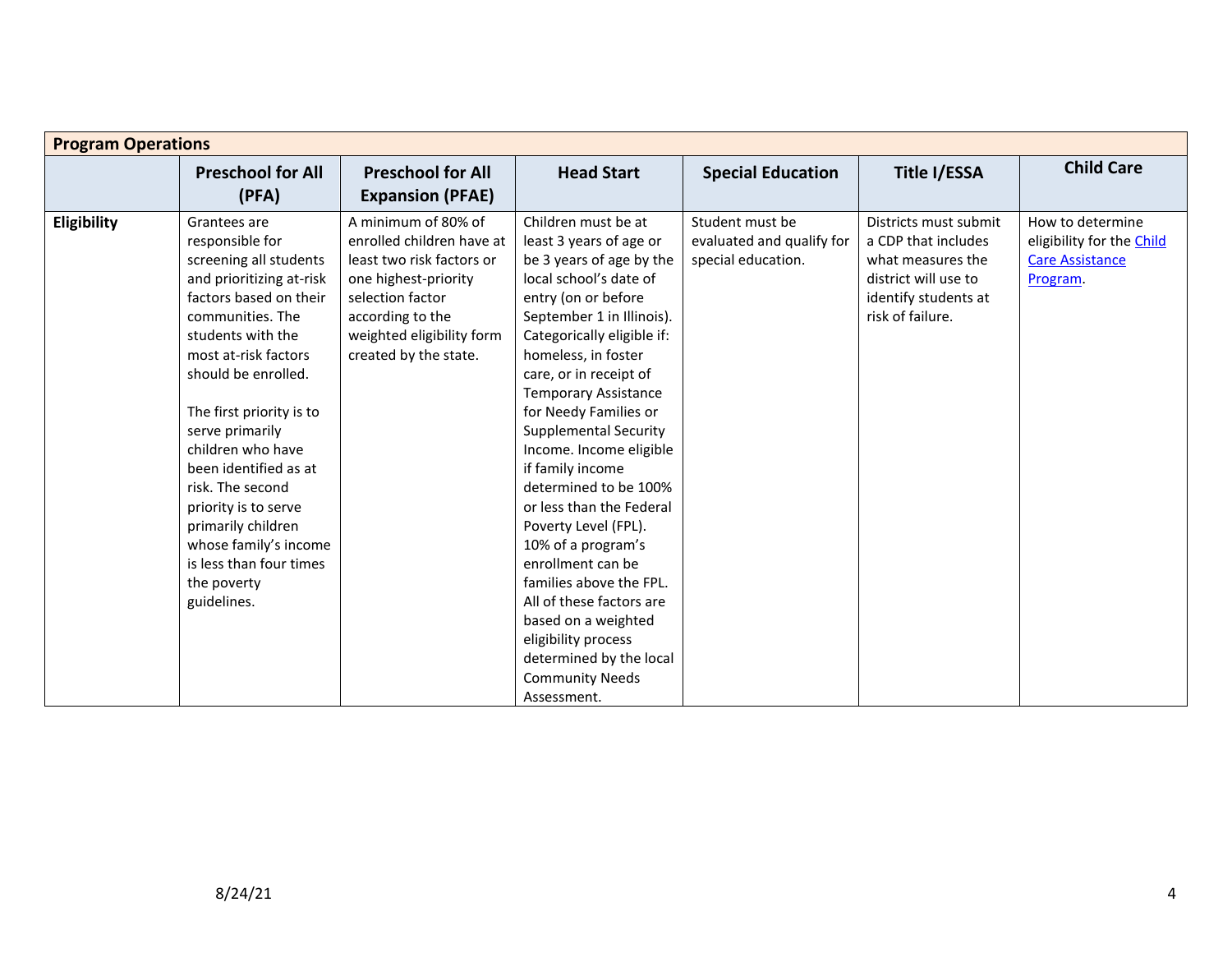| <b>Program Operations</b> |                                                                                                                                                                                                                                                                                                                                                                                                                                                          |                                                                                                                                                                                                     |                                                                                                                                                                                                                                                                                                                                                                                                                                                                                                                                                                                                                                                                                 |                                                                    |                                                                                                                                       |                                                                                     |  |  |
|---------------------------|----------------------------------------------------------------------------------------------------------------------------------------------------------------------------------------------------------------------------------------------------------------------------------------------------------------------------------------------------------------------------------------------------------------------------------------------------------|-----------------------------------------------------------------------------------------------------------------------------------------------------------------------------------------------------|---------------------------------------------------------------------------------------------------------------------------------------------------------------------------------------------------------------------------------------------------------------------------------------------------------------------------------------------------------------------------------------------------------------------------------------------------------------------------------------------------------------------------------------------------------------------------------------------------------------------------------------------------------------------------------|--------------------------------------------------------------------|---------------------------------------------------------------------------------------------------------------------------------------|-------------------------------------------------------------------------------------|--|--|
|                           | <b>Preschool for All</b><br>(PFA)                                                                                                                                                                                                                                                                                                                                                                                                                        | <b>Preschool for All</b><br><b>Expansion (PFAE)</b>                                                                                                                                                 | <b>Head Start</b>                                                                                                                                                                                                                                                                                                                                                                                                                                                                                                                                                                                                                                                               | <b>Special Education</b>                                           | Title I/ESSA                                                                                                                          | <b>Child Care</b>                                                                   |  |  |
| Eligibility               | Grantees are<br>responsible for<br>screening all students<br>and prioritizing at-risk<br>factors based on their<br>communities. The<br>students with the<br>most at-risk factors<br>should be enrolled.<br>The first priority is to<br>serve primarily<br>children who have<br>been identified as at<br>risk. The second<br>priority is to serve<br>primarily children<br>whose family's income<br>is less than four times<br>the poverty<br>guidelines. | A minimum of 80% of<br>enrolled children have at<br>least two risk factors or<br>one highest-priority<br>selection factor<br>according to the<br>weighted eligibility form<br>created by the state. | Children must be at<br>least 3 years of age or<br>be 3 years of age by the<br>local school's date of<br>entry (on or before<br>September 1 in Illinois).<br>Categorically eligible if:<br>homeless, in foster<br>care, or in receipt of<br><b>Temporary Assistance</b><br>for Needy Families or<br><b>Supplemental Security</b><br>Income. Income eligible<br>if family income<br>determined to be 100%<br>or less than the Federal<br>Poverty Level (FPL).<br>10% of a program's<br>enrollment can be<br>families above the FPL.<br>All of these factors are<br>based on a weighted<br>eligibility process<br>determined by the local<br><b>Community Needs</b><br>Assessment. | Student must be<br>evaluated and qualify for<br>special education. | Districts must submit<br>a CDP that includes<br>what measures the<br>district will use to<br>identify students at<br>risk of failure. | How to determine<br>eligibility for the Child<br><b>Care Assistance</b><br>Program. |  |  |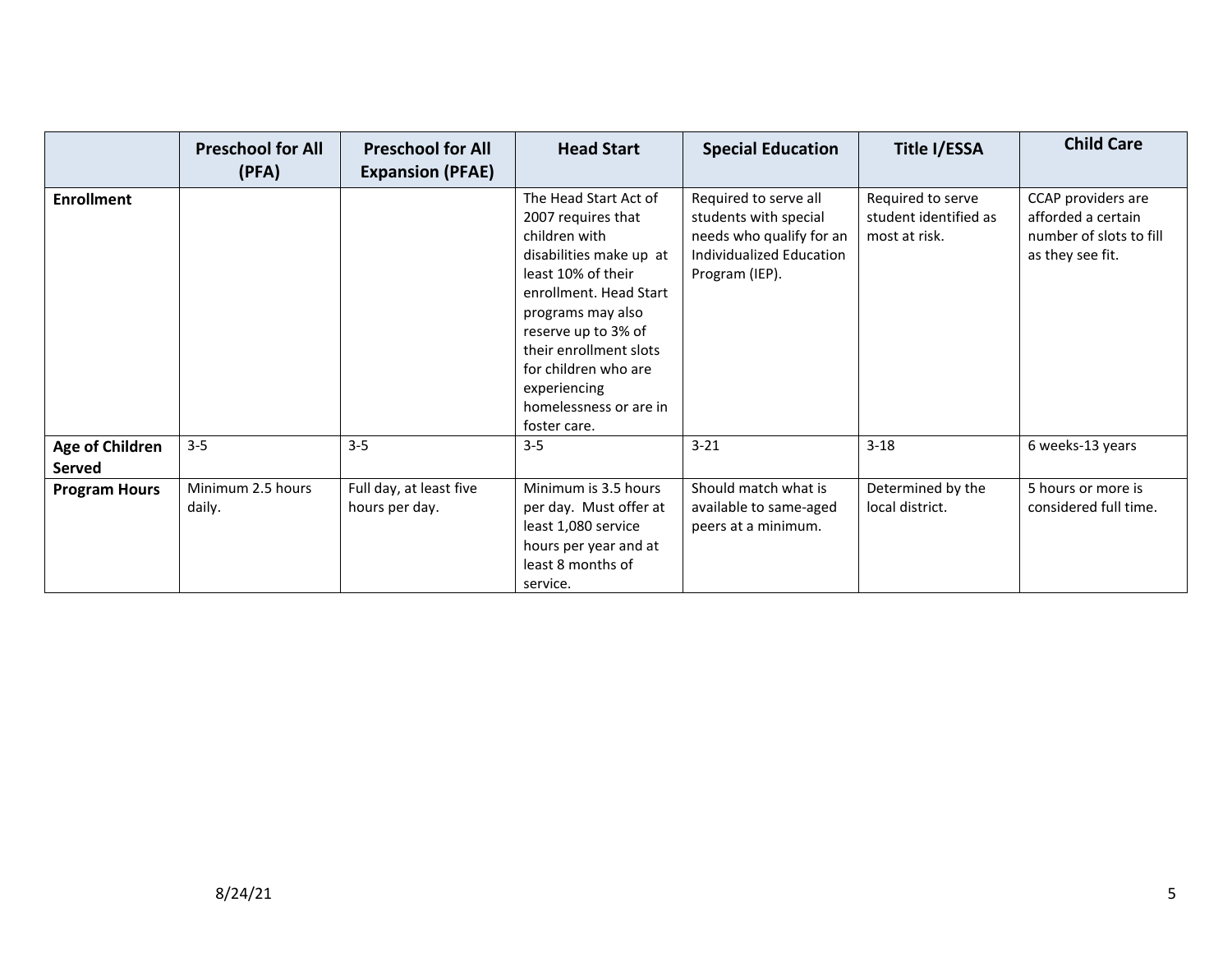|                                         | <b>Preschool for All</b><br>(PFA) | <b>Preschool for All</b><br><b>Expansion (PFAE)</b> | <b>Head Start</b>                                                                                                                                                                                                                                                                               | <b>Special Education</b>                                                                                                 | Title I/ESSA                                                | <b>Child Care</b>                                                                       |
|-----------------------------------------|-----------------------------------|-----------------------------------------------------|-------------------------------------------------------------------------------------------------------------------------------------------------------------------------------------------------------------------------------------------------------------------------------------------------|--------------------------------------------------------------------------------------------------------------------------|-------------------------------------------------------------|-----------------------------------------------------------------------------------------|
| <b>Enrollment</b>                       |                                   |                                                     | The Head Start Act of<br>2007 requires that<br>children with<br>disabilities make up at<br>least 10% of their<br>enrollment. Head Start<br>programs may also<br>reserve up to 3% of<br>their enrollment slots<br>for children who are<br>experiencing<br>homelessness or are in<br>foster care. | Required to serve all<br>students with special<br>needs who qualify for an<br>Individualized Education<br>Program (IEP). | Required to serve<br>student identified as<br>most at risk. | CCAP providers are<br>afforded a certain<br>number of slots to fill<br>as they see fit. |
| <b>Age of Children</b><br><b>Served</b> | $3 - 5$                           | $3 - 5$                                             | $3 - 5$                                                                                                                                                                                                                                                                                         | $3 - 21$                                                                                                                 | $3 - 18$                                                    | 6 weeks-13 years                                                                        |
| <b>Program Hours</b>                    | Minimum 2.5 hours<br>daily.       | Full day, at least five<br>hours per day.           | Minimum is 3.5 hours<br>per day. Must offer at<br>least 1,080 service<br>hours per year and at<br>least 8 months of<br>service.                                                                                                                                                                 | Should match what is<br>available to same-aged<br>peers at a minimum.                                                    | Determined by the<br>local district.                        | 5 hours or more is<br>considered full time.                                             |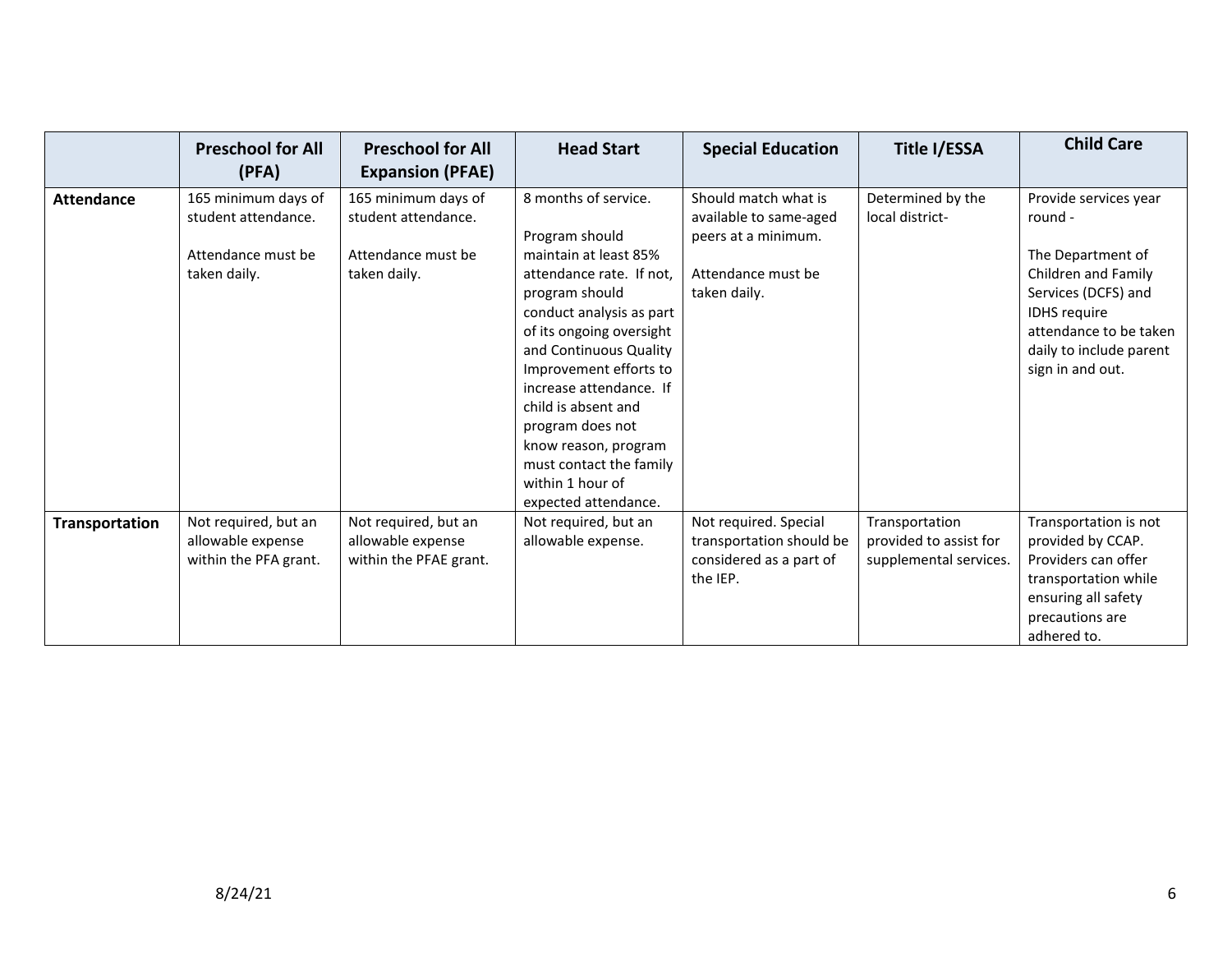|                   | <b>Preschool for All</b><br>(PFA)                                                | <b>Preschool for All</b><br><b>Expansion (PFAE)</b>                              | <b>Head Start</b>                                                                                                                                                                                                                                                                                                                                                                              | <b>Special Education</b>                                                                                    | <b>Title I/ESSA</b>                                                | <b>Child Care</b>                                                                                                                                                                                   |
|-------------------|----------------------------------------------------------------------------------|----------------------------------------------------------------------------------|------------------------------------------------------------------------------------------------------------------------------------------------------------------------------------------------------------------------------------------------------------------------------------------------------------------------------------------------------------------------------------------------|-------------------------------------------------------------------------------------------------------------|--------------------------------------------------------------------|-----------------------------------------------------------------------------------------------------------------------------------------------------------------------------------------------------|
| <b>Attendance</b> | 165 minimum days of<br>student attendance.<br>Attendance must be<br>taken daily. | 165 minimum days of<br>student attendance.<br>Attendance must be<br>taken daily. | 8 months of service.<br>Program should<br>maintain at least 85%<br>attendance rate. If not,<br>program should<br>conduct analysis as part<br>of its ongoing oversight<br>and Continuous Quality<br>Improvement efforts to<br>increase attendance. If<br>child is absent and<br>program does not<br>know reason, program<br>must contact the family<br>within 1 hour of<br>expected attendance. | Should match what is<br>available to same-aged<br>peers at a minimum.<br>Attendance must be<br>taken daily. | Determined by the<br>local district-                               | Provide services year<br>round -<br>The Department of<br>Children and Family<br>Services (DCFS) and<br><b>IDHS</b> require<br>attendance to be taken<br>daily to include parent<br>sign in and out. |
| Transportation    | Not required, but an<br>allowable expense<br>within the PFA grant.               | Not required, but an<br>allowable expense<br>within the PFAE grant.              | Not required, but an<br>allowable expense.                                                                                                                                                                                                                                                                                                                                                     | Not required. Special<br>transportation should be<br>considered as a part of<br>the IEP.                    | Transportation<br>provided to assist for<br>supplemental services. | Transportation is not<br>provided by CCAP.<br>Providers can offer<br>transportation while<br>ensuring all safety<br>precautions are<br>adhered to.                                                  |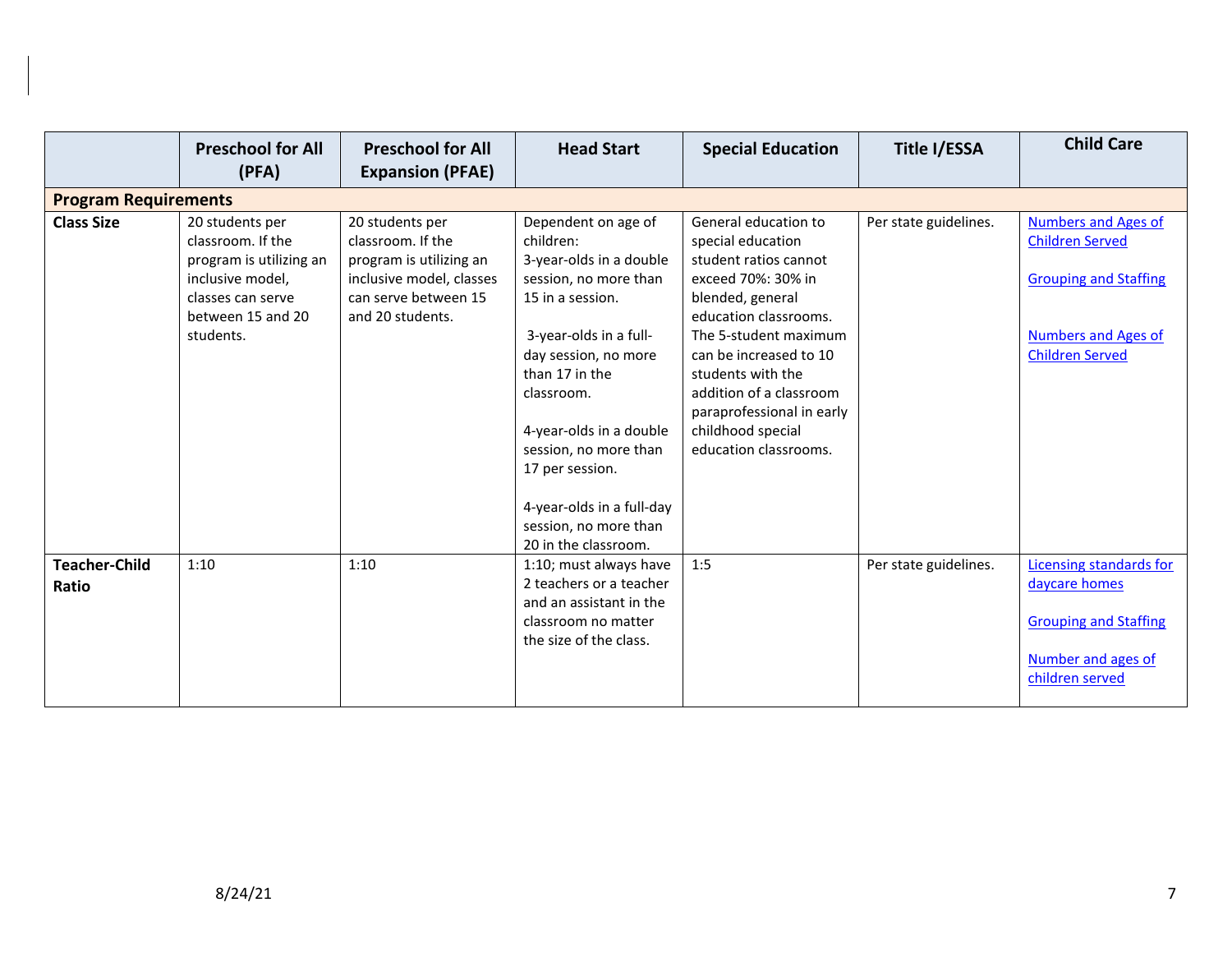|                             | <b>Preschool for All</b><br>(PFA)                                                                                                          | <b>Preschool for All</b><br><b>Expansion (PFAE)</b>                                                                                     | <b>Head Start</b>                                                                                                                                                                                                                                                                                                       | <b>Special Education</b>                                                                                                                                                                                                                                                                                            | Title I/ESSA          | <b>Child Care</b>                                                                                                                            |  |  |
|-----------------------------|--------------------------------------------------------------------------------------------------------------------------------------------|-----------------------------------------------------------------------------------------------------------------------------------------|-------------------------------------------------------------------------------------------------------------------------------------------------------------------------------------------------------------------------------------------------------------------------------------------------------------------------|---------------------------------------------------------------------------------------------------------------------------------------------------------------------------------------------------------------------------------------------------------------------------------------------------------------------|-----------------------|----------------------------------------------------------------------------------------------------------------------------------------------|--|--|
| <b>Program Requirements</b> |                                                                                                                                            |                                                                                                                                         |                                                                                                                                                                                                                                                                                                                         |                                                                                                                                                                                                                                                                                                                     |                       |                                                                                                                                              |  |  |
| <b>Class Size</b>           | 20 students per<br>classroom. If the<br>program is utilizing an<br>inclusive model,<br>classes can serve<br>between 15 and 20<br>students. | 20 students per<br>classroom. If the<br>program is utilizing an<br>inclusive model, classes<br>can serve between 15<br>and 20 students. | Dependent on age of<br>children:<br>3-year-olds in a double<br>session, no more than<br>15 in a session.<br>3-year-olds in a full-<br>day session, no more<br>than 17 in the<br>classroom.<br>4-year-olds in a double<br>session, no more than<br>17 per session.<br>4-year-olds in a full-day<br>session, no more than | General education to<br>special education<br>student ratios cannot<br>exceed 70%: 30% in<br>blended, general<br>education classrooms.<br>The 5-student maximum<br>can be increased to 10<br>students with the<br>addition of a classroom<br>paraprofessional in early<br>childhood special<br>education classrooms. | Per state guidelines. | <b>Numbers and Ages of</b><br><b>Children Served</b><br><b>Grouping and Staffing</b><br><b>Numbers and Ages of</b><br><b>Children Served</b> |  |  |
| <b>Teacher-Child</b>        | 1:10                                                                                                                                       | 1:10                                                                                                                                    | 20 in the classroom.                                                                                                                                                                                                                                                                                                    | 1:5                                                                                                                                                                                                                                                                                                                 |                       |                                                                                                                                              |  |  |
| Ratio                       |                                                                                                                                            |                                                                                                                                         | 1:10; must always have<br>2 teachers or a teacher<br>and an assistant in the<br>classroom no matter<br>the size of the class.                                                                                                                                                                                           |                                                                                                                                                                                                                                                                                                                     | Per state guidelines. | Licensing standards for<br>daycare homes<br><b>Grouping and Staffing</b><br>Number and ages of<br>children served                            |  |  |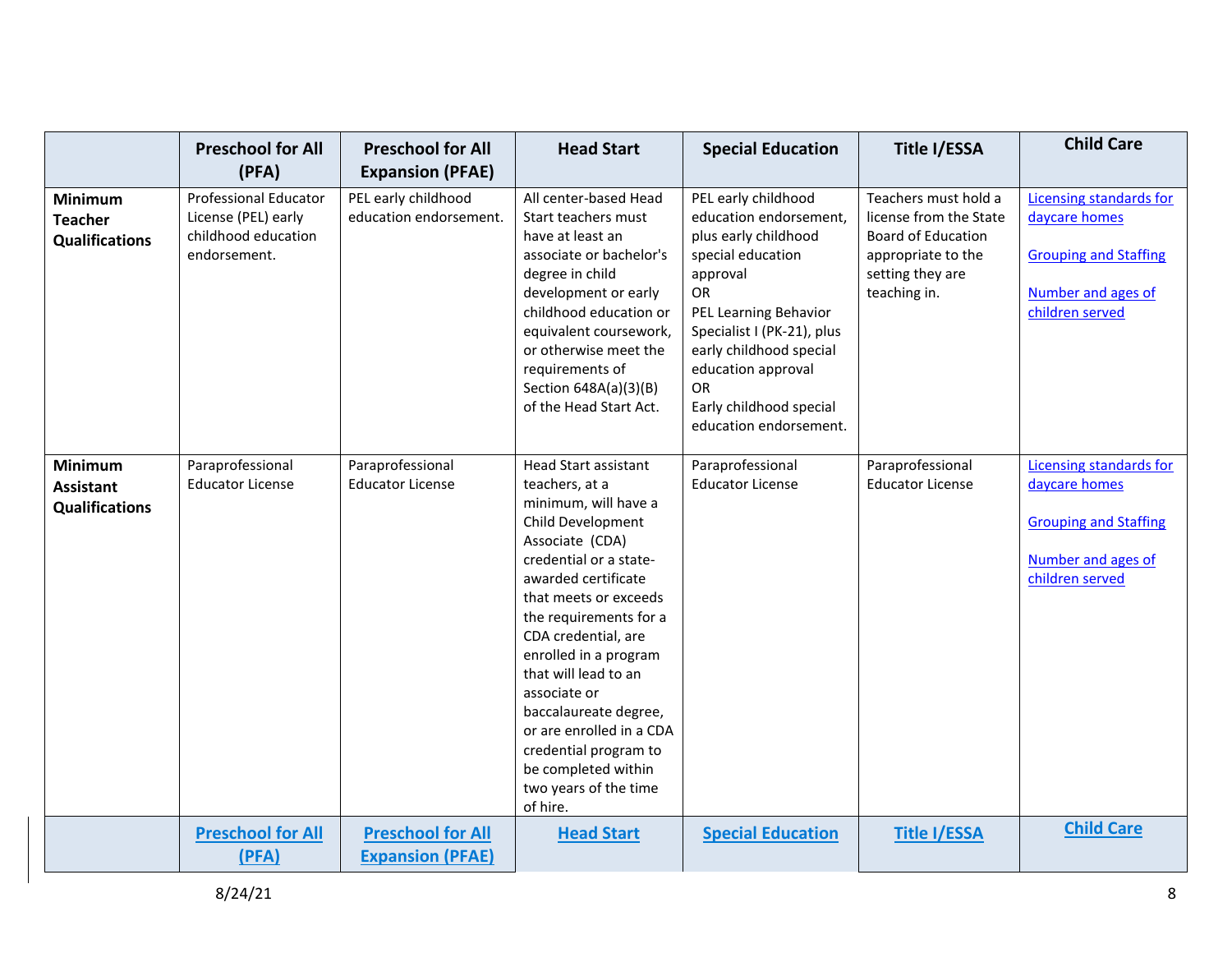|                                                      | <b>Preschool for All</b><br>(PFA)                                                          | <b>Preschool for All</b><br><b>Expansion (PFAE)</b> | <b>Head Start</b>                                                                                                                                                                                                                                                                                                                                                                                                                                   | <b>Special Education</b>                                                                                                                                                                                                                                                        | Title I/ESSA                                                                                                                          | <b>Child Care</b>                                                                                                        |
|------------------------------------------------------|--------------------------------------------------------------------------------------------|-----------------------------------------------------|-----------------------------------------------------------------------------------------------------------------------------------------------------------------------------------------------------------------------------------------------------------------------------------------------------------------------------------------------------------------------------------------------------------------------------------------------------|---------------------------------------------------------------------------------------------------------------------------------------------------------------------------------------------------------------------------------------------------------------------------------|---------------------------------------------------------------------------------------------------------------------------------------|--------------------------------------------------------------------------------------------------------------------------|
| Minimum<br><b>Teacher</b><br><b>Qualifications</b>   | <b>Professional Educator</b><br>License (PEL) early<br>childhood education<br>endorsement. | PEL early childhood<br>education endorsement.       | All center-based Head<br>Start teachers must<br>have at least an<br>associate or bachelor's<br>degree in child<br>development or early<br>childhood education or<br>equivalent coursework,<br>or otherwise meet the<br>requirements of<br>Section 648A(a)(3)(B)<br>of the Head Start Act.                                                                                                                                                           | PEL early childhood<br>education endorsement,<br>plus early childhood<br>special education<br>approval<br>OR<br>PEL Learning Behavior<br>Specialist I (PK-21), plus<br>early childhood special<br>education approval<br>OR<br>Early childhood special<br>education endorsement. | Teachers must hold a<br>license from the State<br><b>Board of Education</b><br>appropriate to the<br>setting they are<br>teaching in. | Licensing standards for<br>daycare homes<br><b>Grouping and Staffing</b><br>Number and ages of<br>children served        |
| <b>Minimum</b><br>Assistant<br><b>Qualifications</b> | Paraprofessional<br><b>Educator License</b>                                                | Paraprofessional<br><b>Educator License</b>         | <b>Head Start assistant</b><br>teachers, at a<br>minimum, will have a<br>Child Development<br>Associate (CDA)<br>credential or a state-<br>awarded certificate<br>that meets or exceeds<br>the requirements for a<br>CDA credential, are<br>enrolled in a program<br>that will lead to an<br>associate or<br>baccalaureate degree,<br>or are enrolled in a CDA<br>credential program to<br>be completed within<br>two years of the time<br>of hire. | Paraprofessional<br><b>Educator License</b>                                                                                                                                                                                                                                     | Paraprofessional<br><b>Educator License</b>                                                                                           | <b>Licensing standards for</b><br>daycare homes<br><b>Grouping and Staffing</b><br>Number and ages of<br>children served |
|                                                      | <b>Preschool for All</b><br>(PFA)                                                          | <b>Preschool for All</b><br><b>Expansion (PFAE)</b> | <b>Head Start</b>                                                                                                                                                                                                                                                                                                                                                                                                                                   | <b>Special Education</b>                                                                                                                                                                                                                                                        | <b>Title I/ESSA</b>                                                                                                                   | <b>Child Care</b>                                                                                                        |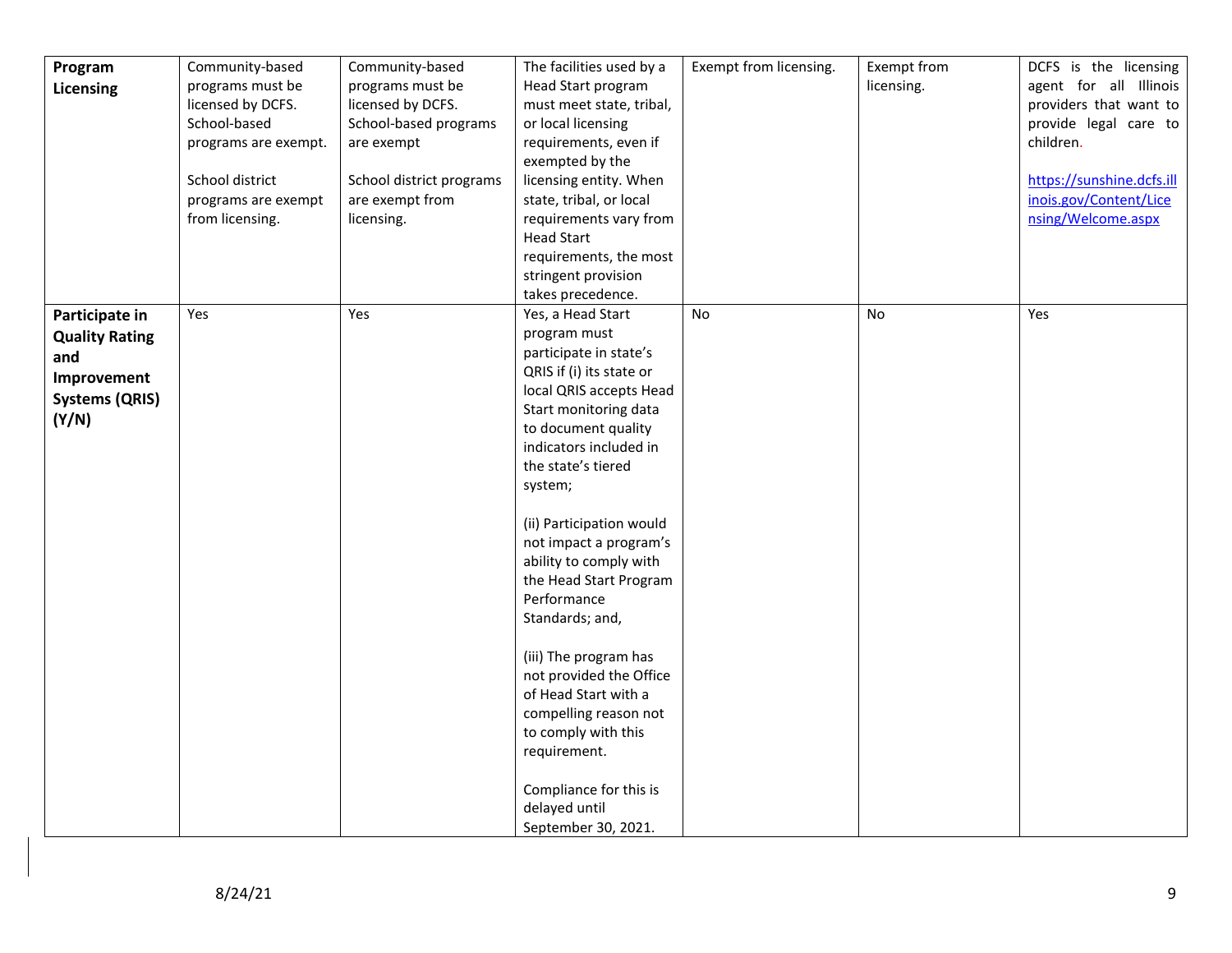| Program               | Community-based      | Community-based          | The facilities used by a | Exempt from licensing. | Exempt from | DCFS is the licensing     |
|-----------------------|----------------------|--------------------------|--------------------------|------------------------|-------------|---------------------------|
| Licensing             | programs must be     | programs must be         | Head Start program       |                        | licensing.  | agent for all Illinois    |
|                       | licensed by DCFS.    | licensed by DCFS.        | must meet state, tribal, |                        |             | providers that want to    |
|                       | School-based         | School-based programs    | or local licensing       |                        |             | provide legal care to     |
|                       | programs are exempt. | are exempt               | requirements, even if    |                        |             | children.                 |
|                       |                      |                          | exempted by the          |                        |             |                           |
|                       | School district      | School district programs | licensing entity. When   |                        |             | https://sunshine.dcfs.ill |
|                       | programs are exempt  | are exempt from          | state, tribal, or local  |                        |             | inois.gov/Content/Lice    |
|                       | from licensing.      | licensing.               | requirements vary from   |                        |             | nsing/Welcome.aspx        |
|                       |                      |                          | <b>Head Start</b>        |                        |             |                           |
|                       |                      |                          | requirements, the most   |                        |             |                           |
|                       |                      |                          | stringent provision      |                        |             |                           |
|                       |                      |                          | takes precedence.        |                        |             |                           |
| Participate in        | Yes                  | Yes                      | Yes, a Head Start        | No                     | No          | Yes                       |
| <b>Quality Rating</b> |                      |                          | program must             |                        |             |                           |
| and                   |                      |                          | participate in state's   |                        |             |                           |
| Improvement           |                      |                          | QRIS if (i) its state or |                        |             |                           |
| <b>Systems (QRIS)</b> |                      |                          | local QRIS accepts Head  |                        |             |                           |
|                       |                      |                          | Start monitoring data    |                        |             |                           |
| (Y/N)                 |                      |                          | to document quality      |                        |             |                           |
|                       |                      |                          | indicators included in   |                        |             |                           |
|                       |                      |                          | the state's tiered       |                        |             |                           |
|                       |                      |                          | system;                  |                        |             |                           |
|                       |                      |                          | (ii) Participation would |                        |             |                           |
|                       |                      |                          | not impact a program's   |                        |             |                           |
|                       |                      |                          | ability to comply with   |                        |             |                           |
|                       |                      |                          | the Head Start Program   |                        |             |                           |
|                       |                      |                          | Performance              |                        |             |                           |
|                       |                      |                          | Standards; and,          |                        |             |                           |
|                       |                      |                          |                          |                        |             |                           |
|                       |                      |                          | (iii) The program has    |                        |             |                           |
|                       |                      |                          | not provided the Office  |                        |             |                           |
|                       |                      |                          | of Head Start with a     |                        |             |                           |
|                       |                      |                          | compelling reason not    |                        |             |                           |
|                       |                      |                          | to comply with this      |                        |             |                           |
|                       |                      |                          | requirement.             |                        |             |                           |
|                       |                      |                          | Compliance for this is   |                        |             |                           |
|                       |                      |                          | delayed until            |                        |             |                           |
|                       |                      |                          | September 30, 2021.      |                        |             |                           |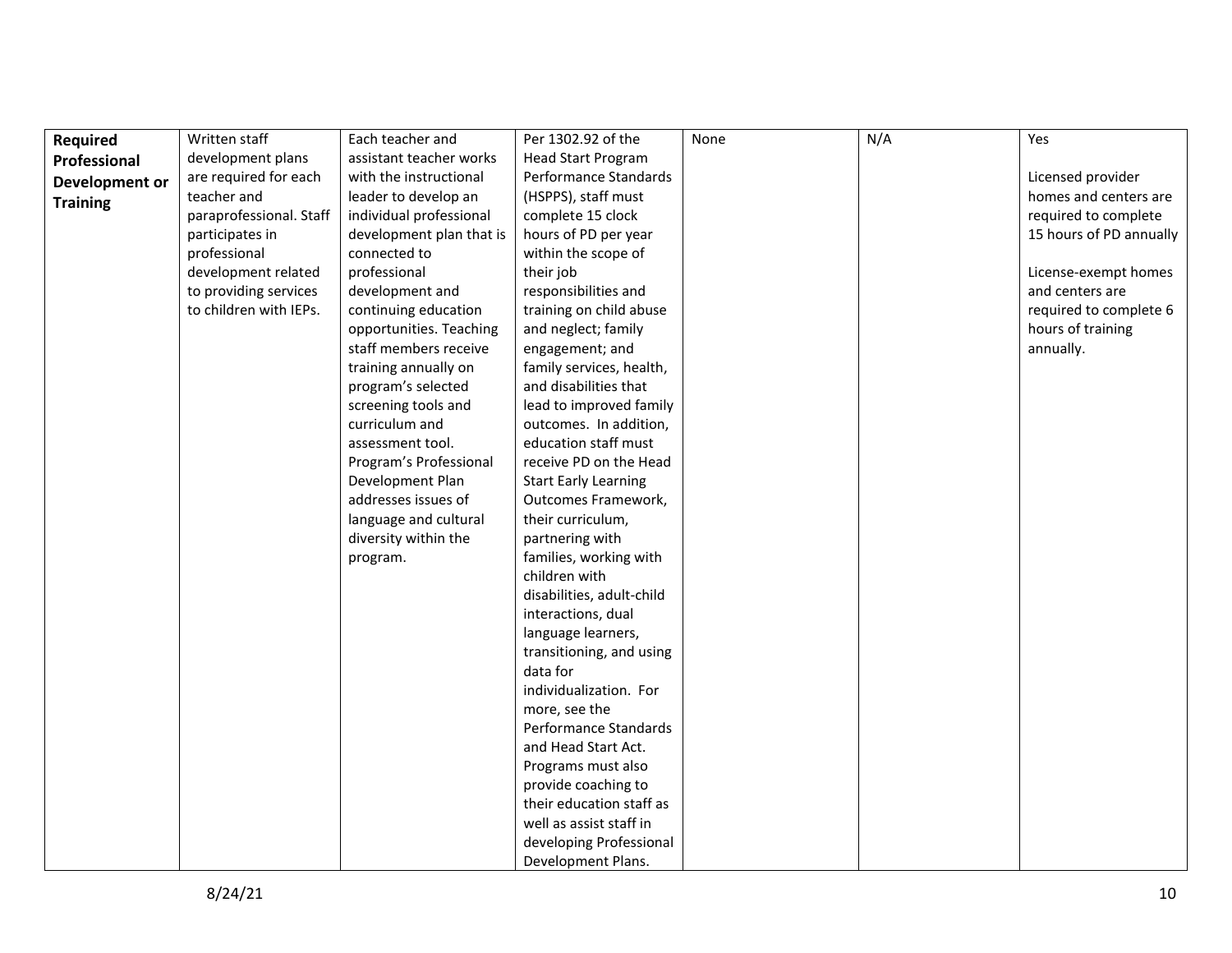| Required        | Written staff           | Each teacher and         | Per 1302.92 of the          | None | N/A | Yes                     |
|-----------------|-------------------------|--------------------------|-----------------------------|------|-----|-------------------------|
| Professional    | development plans       | assistant teacher works  | <b>Head Start Program</b>   |      |     |                         |
| Development or  | are required for each   | with the instructional   | Performance Standards       |      |     | Licensed provider       |
| <b>Training</b> | teacher and             | leader to develop an     | (HSPPS), staff must         |      |     | homes and centers are   |
|                 | paraprofessional. Staff | individual professional  | complete 15 clock           |      |     | required to complete    |
|                 | participates in         | development plan that is | hours of PD per year        |      |     | 15 hours of PD annually |
|                 | professional            | connected to             | within the scope of         |      |     |                         |
|                 | development related     | professional             | their job                   |      |     | License-exempt homes    |
|                 | to providing services   | development and          | responsibilities and        |      |     | and centers are         |
|                 | to children with IEPs.  | continuing education     | training on child abuse     |      |     | required to complete 6  |
|                 |                         | opportunities. Teaching  | and neglect; family         |      |     | hours of training       |
|                 |                         | staff members receive    | engagement; and             |      |     | annually.               |
|                 |                         | training annually on     | family services, health,    |      |     |                         |
|                 |                         | program's selected       | and disabilities that       |      |     |                         |
|                 |                         | screening tools and      | lead to improved family     |      |     |                         |
|                 |                         | curriculum and           | outcomes. In addition,      |      |     |                         |
|                 |                         | assessment tool.         | education staff must        |      |     |                         |
|                 |                         | Program's Professional   | receive PD on the Head      |      |     |                         |
|                 |                         | Development Plan         | <b>Start Early Learning</b> |      |     |                         |
|                 |                         | addresses issues of      | Outcomes Framework,         |      |     |                         |
|                 |                         | language and cultural    | their curriculum,           |      |     |                         |
|                 |                         | diversity within the     | partnering with             |      |     |                         |
|                 |                         | program.                 | families, working with      |      |     |                         |
|                 |                         |                          | children with               |      |     |                         |
|                 |                         |                          | disabilities, adult-child   |      |     |                         |
|                 |                         |                          | interactions, dual          |      |     |                         |
|                 |                         |                          | language learners,          |      |     |                         |
|                 |                         |                          | transitioning, and using    |      |     |                         |
|                 |                         |                          | data for                    |      |     |                         |
|                 |                         |                          | individualization. For      |      |     |                         |
|                 |                         |                          | more, see the               |      |     |                         |
|                 |                         |                          | Performance Standards       |      |     |                         |
|                 |                         |                          | and Head Start Act.         |      |     |                         |
|                 |                         |                          | Programs must also          |      |     |                         |
|                 |                         |                          | provide coaching to         |      |     |                         |
|                 |                         |                          | their education staff as    |      |     |                         |
|                 |                         |                          | well as assist staff in     |      |     |                         |
|                 |                         |                          | developing Professional     |      |     |                         |
|                 |                         |                          | Development Plans.          |      |     |                         |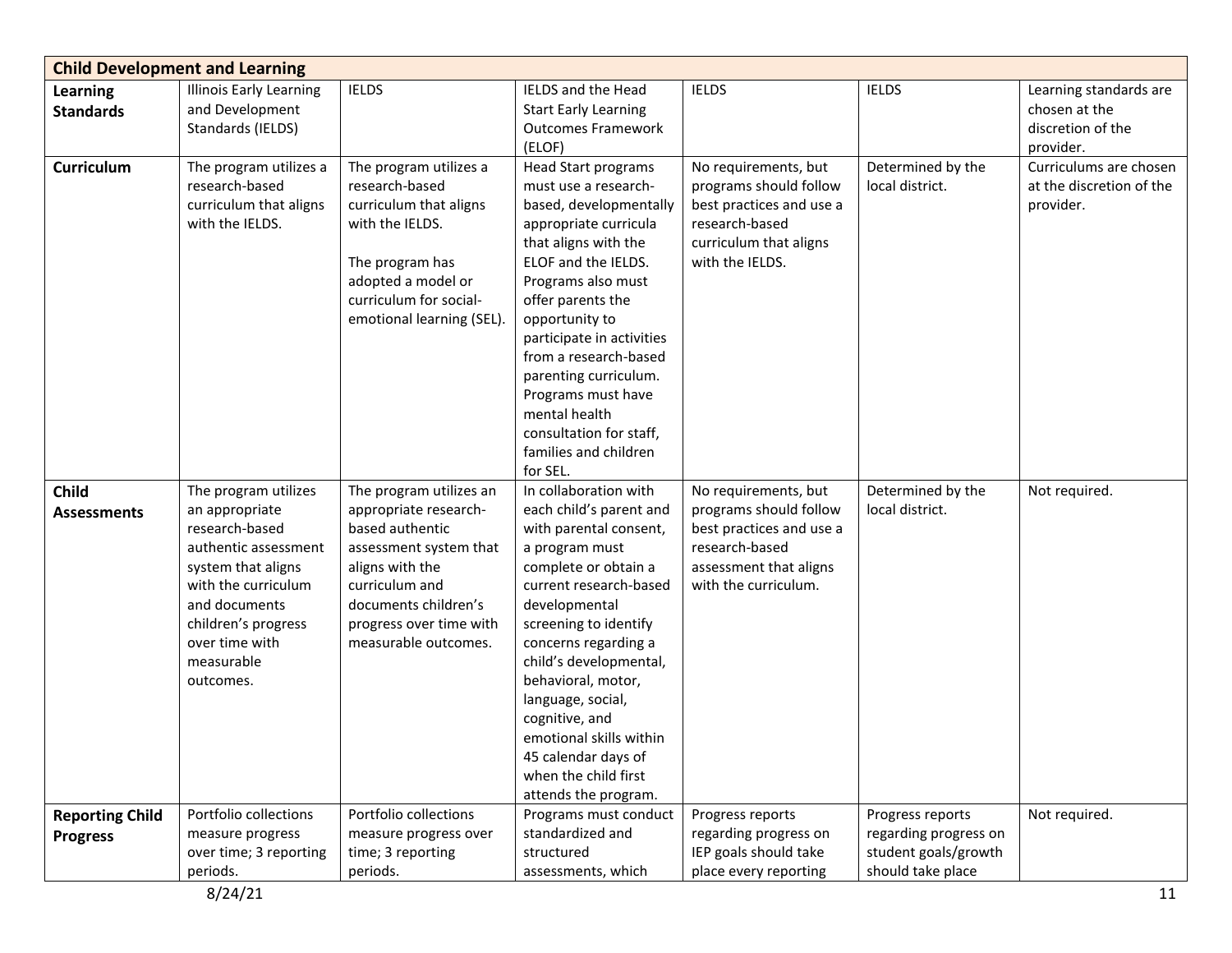|                                           | <b>Child Development and Learning</b>                                                                                                                                                                              |                                                                                                                                                                                                               |                                                                                                                                                                                                                                                                                                                                                                                                           |                                                                                                                                                |                                                                                        |                                                                           |
|-------------------------------------------|--------------------------------------------------------------------------------------------------------------------------------------------------------------------------------------------------------------------|---------------------------------------------------------------------------------------------------------------------------------------------------------------------------------------------------------------|-----------------------------------------------------------------------------------------------------------------------------------------------------------------------------------------------------------------------------------------------------------------------------------------------------------------------------------------------------------------------------------------------------------|------------------------------------------------------------------------------------------------------------------------------------------------|----------------------------------------------------------------------------------------|---------------------------------------------------------------------------|
| <b>Learning</b><br><b>Standards</b>       | <b>Illinois Early Learning</b><br>and Development<br>Standards (IELDS)                                                                                                                                             | <b>IELDS</b>                                                                                                                                                                                                  | IELDS and the Head<br><b>Start Early Learning</b><br><b>Outcomes Framework</b><br>(ELOF)                                                                                                                                                                                                                                                                                                                  | <b>IELDS</b>                                                                                                                                   | <b>IELDS</b>                                                                           | Learning standards are<br>chosen at the<br>discretion of the<br>provider. |
| <b>Curriculum</b>                         | The program utilizes a<br>research-based<br>curriculum that aligns<br>with the IELDS.                                                                                                                              | The program utilizes a<br>research-based<br>curriculum that aligns<br>with the IELDS.<br>The program has<br>adopted a model or<br>curriculum for social-<br>emotional learning (SEL).                         | Head Start programs<br>must use a research-<br>based, developmentally<br>appropriate curricula<br>that aligns with the<br>ELOF and the IELDS.<br>Programs also must<br>offer parents the<br>opportunity to<br>participate in activities<br>from a research-based<br>parenting curriculum.<br>Programs must have<br>mental health<br>consultation for staff,<br>families and children<br>for SEL.          | No requirements, but<br>programs should follow<br>best practices and use a<br>research-based<br>curriculum that aligns<br>with the IELDS.      | Determined by the<br>local district.                                                   | Curriculums are chosen<br>at the discretion of the<br>provider.           |
| <b>Child</b><br><b>Assessments</b>        | The program utilizes<br>an appropriate<br>research-based<br>authentic assessment<br>system that aligns<br>with the curriculum<br>and documents<br>children's progress<br>over time with<br>measurable<br>outcomes. | The program utilizes an<br>appropriate research-<br>based authentic<br>assessment system that<br>aligns with the<br>curriculum and<br>documents children's<br>progress over time with<br>measurable outcomes. | In collaboration with<br>each child's parent and<br>with parental consent,<br>a program must<br>complete or obtain a<br>current research-based<br>developmental<br>screening to identify<br>concerns regarding a<br>child's developmental,<br>behavioral, motor,<br>language, social,<br>cognitive, and<br>emotional skills within<br>45 calendar days of<br>when the child first<br>attends the program. | No requirements, but<br>programs should follow<br>best practices and use a<br>research-based<br>assessment that aligns<br>with the curriculum. | Determined by the<br>local district.                                                   | Not required.                                                             |
| <b>Reporting Child</b><br><b>Progress</b> | Portfolio collections<br>measure progress<br>over time; 3 reporting<br>periods.                                                                                                                                    | Portfolio collections<br>measure progress over<br>time; 3 reporting<br>periods.                                                                                                                               | Programs must conduct<br>standardized and<br>structured<br>assessments, which                                                                                                                                                                                                                                                                                                                             | Progress reports<br>regarding progress on<br>IEP goals should take<br>place every reporting                                                    | Progress reports<br>regarding progress on<br>student goals/growth<br>should take place | Not required.                                                             |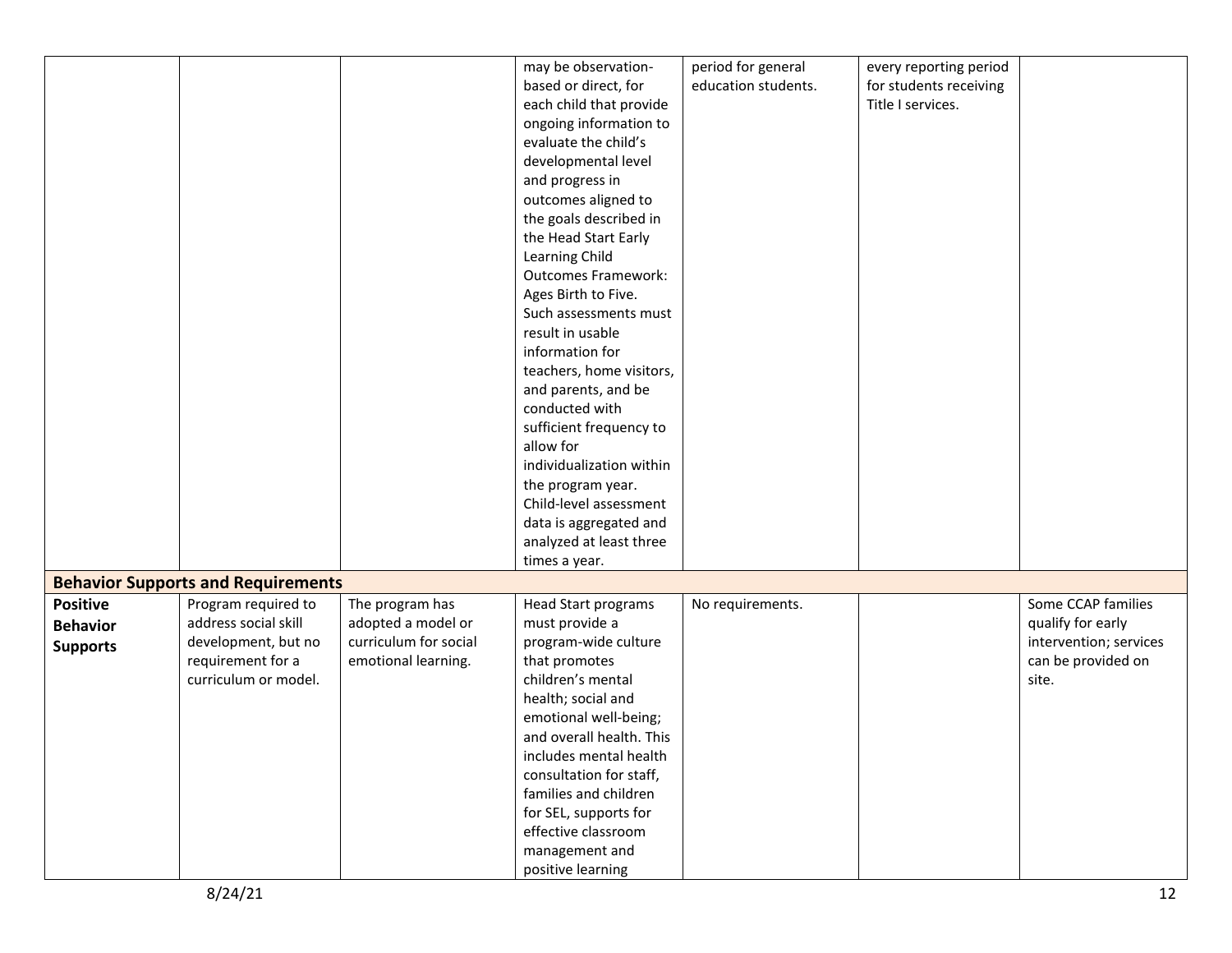|                 |                                           |                       | may be observation-        | period for general  | every reporting period |                        |
|-----------------|-------------------------------------------|-----------------------|----------------------------|---------------------|------------------------|------------------------|
|                 |                                           |                       | based or direct, for       | education students. | for students receiving |                        |
|                 |                                           |                       | each child that provide    |                     | Title I services.      |                        |
|                 |                                           |                       | ongoing information to     |                     |                        |                        |
|                 |                                           |                       | evaluate the child's       |                     |                        |                        |
|                 |                                           |                       | developmental level        |                     |                        |                        |
|                 |                                           |                       | and progress in            |                     |                        |                        |
|                 |                                           |                       | outcomes aligned to        |                     |                        |                        |
|                 |                                           |                       | the goals described in     |                     |                        |                        |
|                 |                                           |                       | the Head Start Early       |                     |                        |                        |
|                 |                                           |                       | Learning Child             |                     |                        |                        |
|                 |                                           |                       | <b>Outcomes Framework:</b> |                     |                        |                        |
|                 |                                           |                       | Ages Birth to Five.        |                     |                        |                        |
|                 |                                           |                       | Such assessments must      |                     |                        |                        |
|                 |                                           |                       | result in usable           |                     |                        |                        |
|                 |                                           |                       | information for            |                     |                        |                        |
|                 |                                           |                       | teachers, home visitors,   |                     |                        |                        |
|                 |                                           |                       | and parents, and be        |                     |                        |                        |
|                 |                                           |                       | conducted with             |                     |                        |                        |
|                 |                                           |                       | sufficient frequency to    |                     |                        |                        |
|                 |                                           |                       | allow for                  |                     |                        |                        |
|                 |                                           |                       | individualization within   |                     |                        |                        |
|                 |                                           |                       | the program year.          |                     |                        |                        |
|                 |                                           |                       | Child-level assessment     |                     |                        |                        |
|                 |                                           |                       | data is aggregated and     |                     |                        |                        |
|                 |                                           |                       | analyzed at least three    |                     |                        |                        |
|                 |                                           |                       |                            |                     |                        |                        |
|                 |                                           |                       | times a year.              |                     |                        |                        |
|                 | <b>Behavior Supports and Requirements</b> |                       |                            |                     |                        |                        |
| <b>Positive</b> | Program required to                       | The program has       | <b>Head Start programs</b> | No requirements.    |                        | Some CCAP families     |
| <b>Behavior</b> | address social skill                      | adopted a model or    | must provide a             |                     |                        | qualify for early      |
| <b>Supports</b> | development, but no                       | curriculum for social | program-wide culture       |                     |                        | intervention; services |
|                 | requirement for a                         | emotional learning.   | that promotes              |                     |                        | can be provided on     |
|                 | curriculum or model.                      |                       | children's mental          |                     |                        | site.                  |
|                 |                                           |                       | health; social and         |                     |                        |                        |
|                 |                                           |                       | emotional well-being;      |                     |                        |                        |
|                 |                                           |                       | and overall health. This   |                     |                        |                        |
|                 |                                           |                       | includes mental health     |                     |                        |                        |
|                 |                                           |                       | consultation for staff,    |                     |                        |                        |
|                 |                                           |                       | families and children      |                     |                        |                        |
|                 |                                           |                       | for SEL, supports for      |                     |                        |                        |
|                 |                                           |                       | effective classroom        |                     |                        |                        |
|                 |                                           |                       | management and             |                     |                        |                        |
|                 |                                           |                       | positive learning          |                     |                        |                        |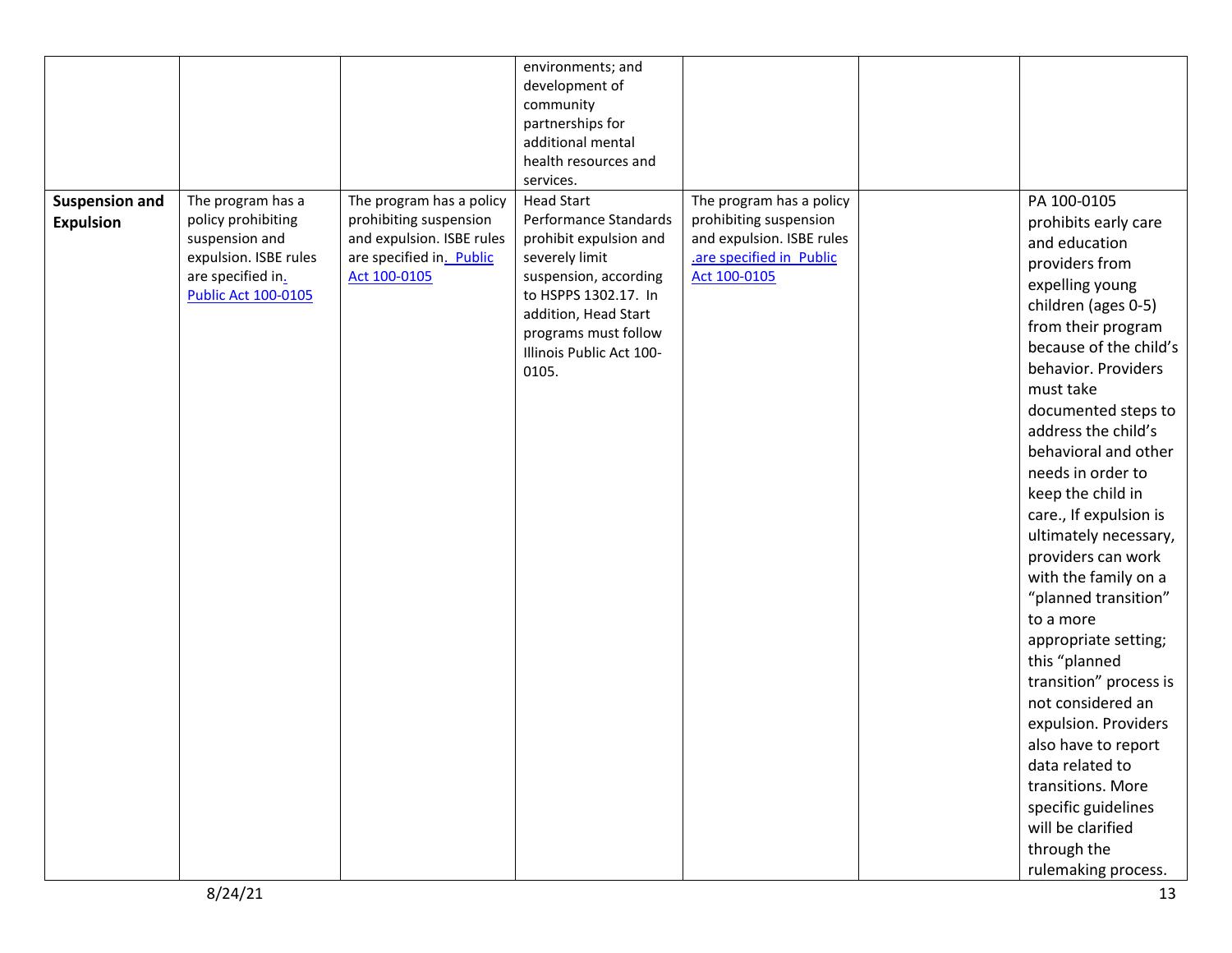|                       |                                            |                           | environments; and                             |                                         |                        |
|-----------------------|--------------------------------------------|---------------------------|-----------------------------------------------|-----------------------------------------|------------------------|
|                       |                                            |                           | development of                                |                                         |                        |
|                       |                                            |                           | community                                     |                                         |                        |
|                       |                                            |                           | partnerships for                              |                                         |                        |
|                       |                                            |                           | additional mental                             |                                         |                        |
|                       |                                            |                           | health resources and                          |                                         |                        |
|                       |                                            |                           | services.                                     |                                         |                        |
| <b>Suspension and</b> | The program has a                          | The program has a policy  | <b>Head Start</b>                             | The program has a policy                | PA 100-0105            |
| <b>Expulsion</b>      | policy prohibiting                         | prohibiting suspension    | Performance Standards                         | prohibiting suspension                  | prohibits early care   |
|                       | suspension and                             | and expulsion. ISBE rules | prohibit expulsion and                        | and expulsion. ISBE rules               | and education          |
|                       | expulsion. ISBE rules<br>are specified in. | are specified in. Public  | severely limit                                | are specified in Public<br>Act 100-0105 | providers from         |
|                       | <b>Public Act 100-0105</b>                 | Act 100-0105              | suspension, according<br>to HSPPS 1302.17. In |                                         | expelling young        |
|                       |                                            |                           | addition, Head Start                          |                                         | children (ages 0-5)    |
|                       |                                            |                           | programs must follow                          |                                         | from their program     |
|                       |                                            |                           | Illinois Public Act 100-                      |                                         | because of the child's |
|                       |                                            |                           | 0105.                                         |                                         | behavior. Providers    |
|                       |                                            |                           |                                               |                                         | must take              |
|                       |                                            |                           |                                               |                                         | documented steps to    |
|                       |                                            |                           |                                               |                                         | address the child's    |
|                       |                                            |                           |                                               |                                         | behavioral and other   |
|                       |                                            |                           |                                               |                                         | needs in order to      |
|                       |                                            |                           |                                               |                                         | keep the child in      |
|                       |                                            |                           |                                               |                                         | care., If expulsion is |
|                       |                                            |                           |                                               |                                         | ultimately necessary,  |
|                       |                                            |                           |                                               |                                         | providers can work     |
|                       |                                            |                           |                                               |                                         | with the family on a   |
|                       |                                            |                           |                                               |                                         | "planned transition"   |
|                       |                                            |                           |                                               |                                         | to a more              |
|                       |                                            |                           |                                               |                                         | appropriate setting;   |
|                       |                                            |                           |                                               |                                         | this "planned          |
|                       |                                            |                           |                                               |                                         | transition" process is |
|                       |                                            |                           |                                               |                                         | not considered an      |
|                       |                                            |                           |                                               |                                         | expulsion. Providers   |
|                       |                                            |                           |                                               |                                         | also have to report    |
|                       |                                            |                           |                                               |                                         | data related to        |
|                       |                                            |                           |                                               |                                         | transitions. More      |
|                       |                                            |                           |                                               |                                         | specific guidelines    |
|                       |                                            |                           |                                               |                                         | will be clarified      |
|                       |                                            |                           |                                               |                                         | through the            |
|                       |                                            |                           |                                               |                                         | rulemaking process.    |
|                       |                                            |                           |                                               |                                         |                        |